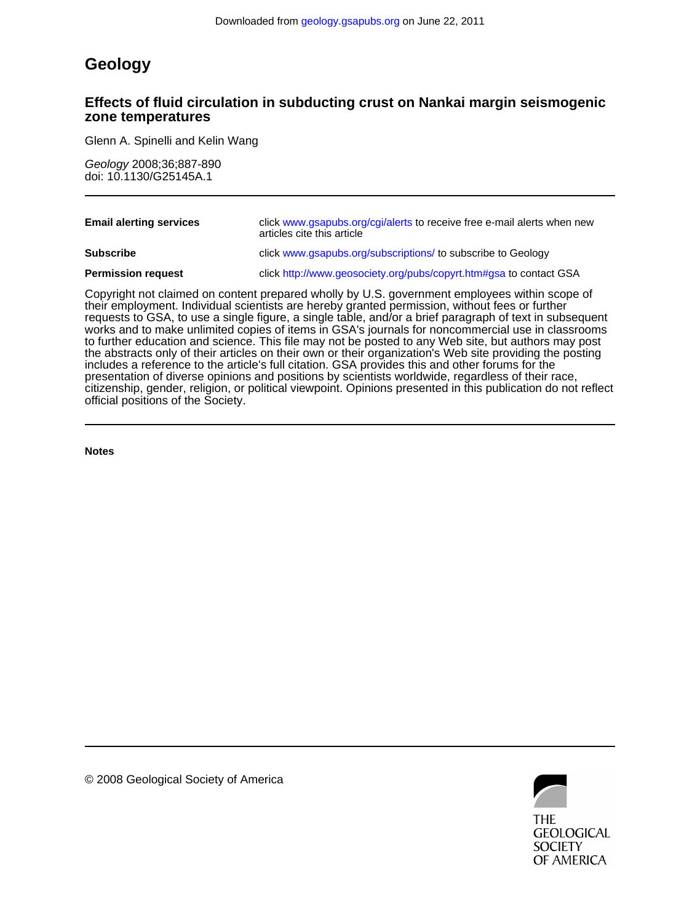## **Geology**

### **zone temperatures Effects of fluid circulation in subducting crust on Nankai margin seismogenic**

Glenn A. Spinelli and Kelin Wang

doi: 10.1130/G25145A.1 Geology 2008;36;887-890

| <b>Email alerting services</b> | click www.gsapubs.org/cgi/alerts to receive free e-mail alerts when new<br>articles cite this article                                                                                                                                                                                                      |
|--------------------------------|------------------------------------------------------------------------------------------------------------------------------------------------------------------------------------------------------------------------------------------------------------------------------------------------------------|
| <b>Subscribe</b>               | click www.gsapubs.org/subscriptions/ to subscribe to Geology                                                                                                                                                                                                                                               |
| <b>Permission request</b>      | click http://www.geosociety.org/pubs/copyrt.htm#gsa to contact GSA                                                                                                                                                                                                                                         |
|                                | Copyright not claimed on content prepared wholly by U.S. government employees within scope of<br>their employment. Individual scientists are hereby granted permission, without fees or further<br>requests to GSA, to use a single figure, a single table, and/or a brief paragraph of text in subsequent |

official positions of the Society. citizenship, gender, religion, or political viewpoint. Opinions presented in this publication do not reflect presentation of diverse opinions and positions by scientists worldwide, regardless of their race, includes a reference to the article's full citation. GSA provides this and other forums for the the abstracts only of their articles on their own or their organization's Web site providing the posting to further education and science. This file may not be posted to any Web site, but authors may post works and to make unlimited copies of items in GSA's journals for noncommercial use in classrooms requests to GSA, to use a single figure, a single table, and/or a brief paragraph of text in subsequent

**Notes**



© 2008 Geological Society of America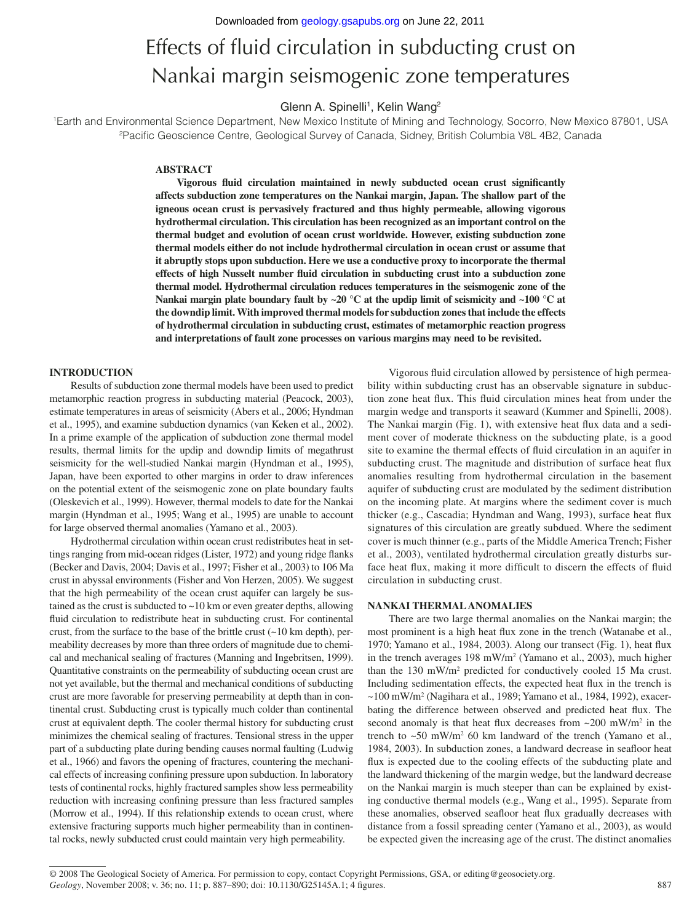# Effects of fluid circulation in subducting crust on Nankai margin seismogenic zone temperatures

Glenn A. Spinelli<sup>1</sup>, Kelin Wang<sup>2</sup>

1 Earth and Environmental Science Department, New Mexico Institute of Mining and Technology, Socorro, New Mexico 87801, USA <sup>2</sup>Pacific Geoscience Centre, Geological Survey of Canada, Sidney, British Columbia V8L 4B2, Canada

#### **ABSTRACT**

Vigorous fluid circulation maintained in newly subducted ocean crust significantly **affects subduction zone temperatures on the Nankai margin, Japan. The shallow part of the igneous ocean crust is pervasively fractured and thus highly permeable, allowing vigorous hydro thermal circulation. This circulation has been recognized as an important control on the thermal budget and evolution of ocean crust worldwide. However, existing subduction zone thermal models either do not include hydrothermal circulation in ocean crust or assume that it abruptly stops upon subduction. Here we use a conductive proxy to incorporate the thermal**  effects of high Nusselt number fluid circulation in subducting crust into a subduction zone **thermal model. Hydrothermal circulation reduces temperatures in the seismogenic zone of the Nankai margin plate boundary fault by ~20 °C at the updip limit of seismicity and ~100 °C at the downdip limit. With improved thermal models for subduction zones that include the effects of hydrothermal circulation in subducting crust, estimates of metamorphic reaction progress and interpretations of fault zone processes on various margins may need to be revisited.**

#### **INTRODUCTION**

Results of subduction zone thermal models have been used to predict metamorphic reaction progress in subducting material (Peacock, 2003), estimate temperatures in areas of seismicity (Abers et al., 2006; Hyndman et al., 1995), and examine subduction dynamics (van Keken et al., 2002). In a prime example of the application of subduction zone thermal model results, thermal limits for the updip and downdip limits of megathrust seismicity for the well-studied Nankai margin (Hyndman et al., 1995), Japan, have been exported to other margins in order to draw inferences on the potential extent of the seismogenic zone on plate boundary faults (Oleskevich et al., 1999). However, thermal models to date for the Nankai margin (Hyndman et al., 1995; Wang et al., 1995) are unable to account for large observed thermal anomalies (Yamano et al., 2003).

Hydrothermal circulation within ocean crust redistributes heat in settings ranging from mid-ocean ridges (Lister, 1972) and young ridge flanks (Becker and Davis, 2004; Davis et al., 1997; Fisher et al., 2003) to 106 Ma crust in abyssal environments (Fisher and Von Herzen, 2005). We suggest that the high permeability of the ocean crust aquifer can largely be sustained as the crust is subducted to  $\sim 10$  km or even greater depths, allowing fluid circulation to redistribute heat in subducting crust. For continental crust, from the surface to the base of the brittle crust  $(\sim 10 \text{ km depth})$ , permeability decreases by more than three orders of magnitude due to chemical and mechanical sealing of fractures (Manning and Ingebritsen, 1999). Quantitative constraints on the permeability of subducting ocean crust are not yet available, but the thermal and mechanical conditions of subducting crust are more favorable for preserving permeability at depth than in continental crust. Subducting crust is typically much colder than continental crust at equivalent depth. The cooler thermal history for subducting crust minimizes the chemical sealing of fractures. Tensional stress in the upper part of a subducting plate during bending causes normal faulting (Ludwig et al., 1966) and favors the opening of fractures, countering the mechanical effects of increasing confining pressure upon subduction. In laboratory tests of continental rocks, highly fractured samples show less permeability reduction with increasing confining pressure than less fractured samples (Morrow et al., 1994). If this relationship extends to ocean crust, where extensive fracturing supports much higher permeability than in continental rocks, newly subducted crust could maintain very high permeability.

Vigorous fluid circulation allowed by persistence of high permeability within subducting crust has an observable signature in subduction zone heat flux. This fluid circulation mines heat from under the margin wedge and transports it seaward (Kummer and Spinelli, 2008). The Nankai margin (Fig. 1), with extensive heat flux data and a sediment cover of moderate thickness on the subducting plate, is a good site to examine the thermal effects of fluid circulation in an aquifer in subducting crust. The magnitude and distribution of surface heat flux anomalies resulting from hydrothermal circulation in the basement aquifer of subducting crust are modulated by the sediment distribution on the incoming plate. At margins where the sediment cover is much thicker (e.g., Cascadia; Hyndman and Wang, 1993), surface heat flux signatures of this circulation are greatly subdued. Where the sediment cover is much thinner (e.g., parts of the Middle America Trench; Fisher et al., 2003), ventilated hydrothermal circulation greatly disturbs surface heat flux, making it more difficult to discern the effects of fluid circulation in subducting crust.

#### **NANKAI THERMAL ANOMALIES**

There are two large thermal anomalies on the Nankai margin; the most prominent is a high heat flux zone in the trench (Watanabe et al., 1970; Yamano et al., 1984, 2003). Along our transect (Fig. 1), heat flux in the trench averages 198 mW/m<sup>2</sup> (Yamano et al., 2003), much higher than the 130 mW/m2 predicted for conductively cooled 15 Ma crust. Including sedimentation effects, the expected heat flux in the trench is ~100 mW/m<sup>2</sup> (Nagihara et al., 1989; Yamano et al., 1984, 1992), exacerbating the difference between observed and predicted heat flux. The second anomaly is that heat flux decreases from  $\sim$ 200 mW/m<sup>2</sup> in the trench to ~50 mW/m2 60 km landward of the trench (Yamano et al., 1984, 2003). In subduction zones, a landward decrease in seafloor heat flux is expected due to the cooling effects of the subducting plate and the landward thickening of the margin wedge, but the landward decrease on the Nankai margin is much steeper than can be explained by existing conductive thermal models (e.g., Wang et al., 1995). Separate from these anomalies, observed seafloor heat flux gradually decreases with distance from a fossil spreading center (Yamano et al., 2003), as would be expected given the increasing age of the crust. The distinct anomalies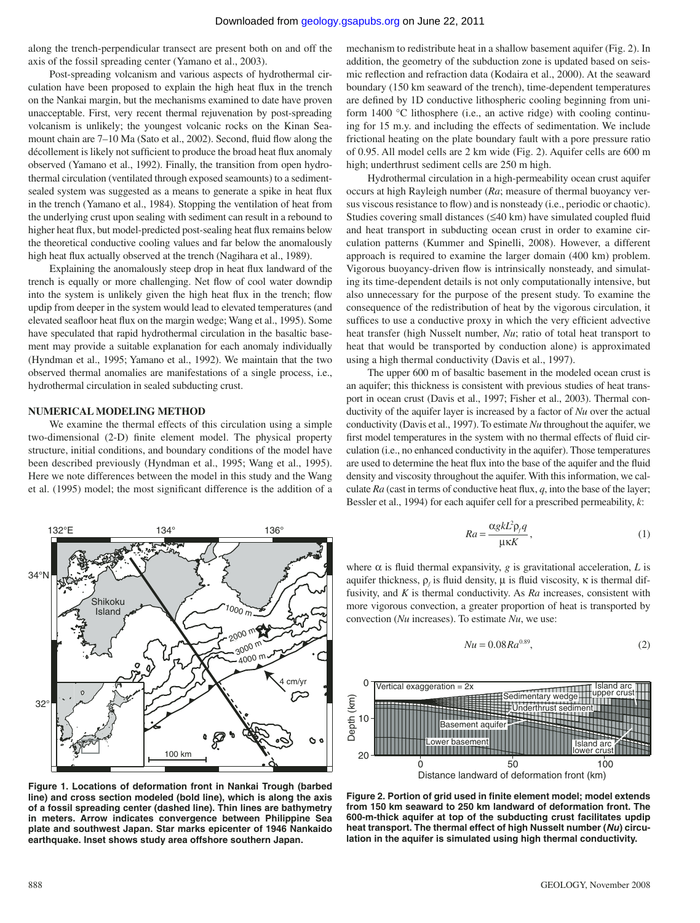along the trench-perpendicular transect are present both on and off the axis of the fossil spreading center (Yamano et al., 2003).

Post-spreading volcanism and various aspects of hydrothermal circulation have been proposed to explain the high heat flux in the trench on the Nankai margin, but the mechanisms examined to date have proven unacceptable. First, very recent thermal rejuvenation by post-spreading volcanism is unlikely; the youngest volcanic rocks on the Kinan Seamount chain are 7-10 Ma (Sato et al., 2002). Second, fluid flow along the décollement is likely not sufficient to produce the broad heat flux anomaly observed (Yamano et al., 1992). Finally, the transition from open hydrothermal circulation (ventilated through exposed seamounts) to a sedimentsealed system was suggested as a means to generate a spike in heat flux in the trench (Yamano et al., 1984). Stopping the ventilation of heat from the underlying crust upon sealing with sediment can result in a rebound to higher heat flux, but model-predicted post-sealing heat flux remains below the theoretical conductive cooling values and far below the anomalously high heat flux actually observed at the trench (Nagihara et al., 1989).

Explaining the anomalously steep drop in heat flux landward of the trench is equally or more challenging. Net flow of cool water downdip into the system is unlikely given the high heat flux in the trench; flow updip from deeper in the system would lead to elevated temperatures (and elevated seafloor heat flux on the margin wedge; Wang et al., 1995). Some have speculated that rapid hydrothermal circulation in the basaltic basement may provide a suitable explanation for each anomaly individually (Hyndman et al., 1995; Yamano et al., 1992). We maintain that the two observed thermal anomalies are manifestations of a single process, i.e., hydrothermal circulation in sealed subducting crust.

#### **NUMERICAL MODELING METHOD**

We examine the thermal effects of this circulation using a simple two-dimensional (2-D) finite element model. The physical property structure, initial conditions, and boundary conditions of the model have been described previously (Hyndman et al., 1995; Wang et al., 1995). Here we note differences between the model in this study and the Wang et al. (1995) model; the most significant difference is the addition of a



**Figure 1. Locations of deformation front in Nankai Trough (barbed line) and cross section modeled (bold line), which is along the axis of a fossil spreading center (dashed line). Thin lines are bathymetry in meters. Arrow indicates convergence between Philippine Sea plate and southwest Japan. Star marks epicenter of 1946 Nankaido earthquake. Inset shows study area offshore southern Japan.**

mechanism to redistribute heat in a shallow basement aquifer (Fig. 2). In addition, the geometry of the subduction zone is updated based on seismic reflection and refraction data (Kodaira et al., 2000). At the seaward boundary (150 km seaward of the trench), time-dependent temperatures are defined by 1D conductive lithospheric cooling beginning from uniform 1400 °C lithosphere (i.e., an active ridge) with cooling continuing for 15 m.y. and including the effects of sedimentation. We include frictional heating on the plate boundary fault with a pore pressure ratio of 0.95. All model cells are 2 km wide (Fig. 2). Aquifer cells are 600 m high; underthrust sediment cells are 250 m high.

Hydrothermal circulation in a high-permeability ocean crust aquifer occurs at high Rayleigh number (*Ra*; measure of thermal buoyancy versus viscous resistance to flow) and is nonsteady (i.e., periodic or chaotic). Studies covering small distances  $(\leq 40 \text{ km})$  have simulated coupled fluid and heat transport in subducting ocean crust in order to examine circulation patterns (Kummer and Spinelli, 2008). However, a different approach is required to examine the larger domain (400 km) problem. Vigorous buoyancy-driven flow is intrinsically nonsteady, and simulating its time-dependent details is not only computationally intensive, but also unnecessary for the purpose of the present study. To examine the consequence of the redistribution of heat by the vigorous circulation, it suffices to use a conductive proxy in which the very efficient advective heat transfer (high Nusselt number, *Nu*; ratio of total heat transport to heat that would be transported by conduction alone) is approximated using a high thermal conductivity (Davis et al., 1997).

The upper 600 m of basaltic basement in the modeled ocean crust is an aquifer; this thickness is consistent with previous studies of heat transport in ocean crust (Davis et al., 1997; Fisher et al., 2003). Thermal conductivity of the aquifer layer is increased by a factor of *Nu* over the actual conductivity (Davis et al., 1997). To estimate *Nu* throughout the aquifer, we first model temperatures in the system with no thermal effects of fluid circulation (i.e., no enhanced conductivity in the aquifer). Those temperatures are used to determine the heat flux into the base of the aquifer and the fluid density and viscosity throughout the aquifer. With this information, we calculate  $Ra$  (cast in terms of conductive heat flux,  $q$ , into the base of the layer; Bessler et al., 1994) for each aquifer cell for a prescribed permeability, *k*:

$$
Ra = \frac{\alpha g k L^2 \rho_f q}{\mu \kappa K},\tag{1}
$$

where  $\alpha$  is fluid thermal expansivity,  $g$  is gravitational acceleration,  $L$  is aquifer thickness,  $\rho_f$  is fluid density,  $\mu$  is fluid viscosity,  $\kappa$  is thermal diffusivity, and *K* is thermal conductivity. As *Ra* increases, consistent with more vigorous convection, a greater proportion of heat is transported by convection (*Nu* increases). To estimate *Nu*, we use:

$$
Nu = 0.08Ra^{0.89},\tag{2}
$$



Figure 2. Portion of grid used in finite element model; model extends **from 150 km seaward to 250 km landward of deformation front. The 600-m-thick aquifer at top of the subducting crust facilitates updip heat transport. The thermal effect of high Nusselt number (***Nu***) circulation in the aquifer is simulated using high thermal conductivity.**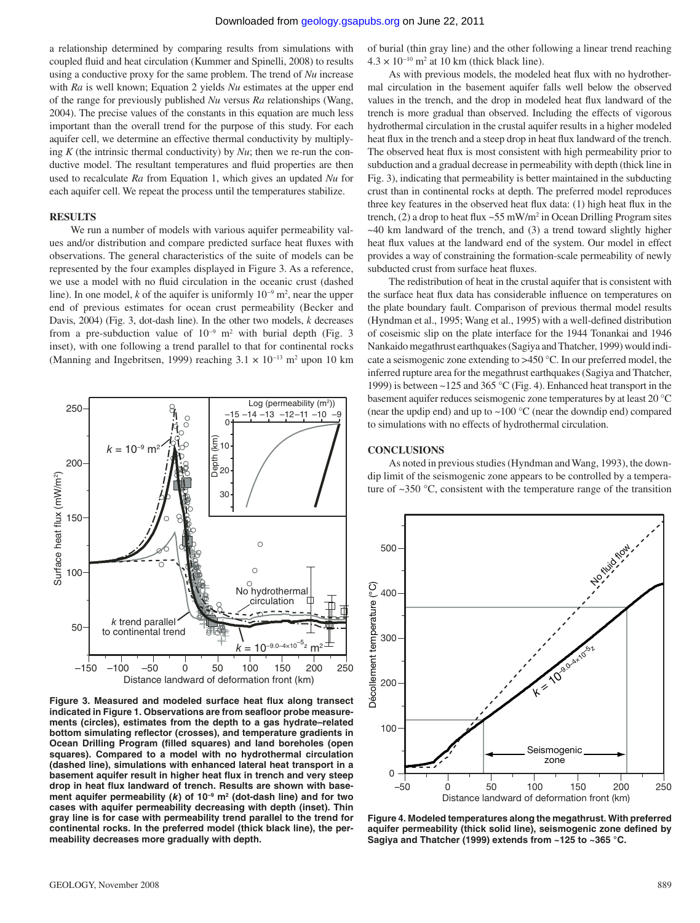a relationship determined by comparing results from simulations with coupled fluid and heat circulation (Kummer and Spinelli, 2008) to results using a conductive proxy for the same problem. The trend of *Nu* increase with *Ra* is well known; Equation 2 yields *Nu* estimates at the upper end of the range for previously published *Nu* versus *Ra* relationships (Wang, 2004). The precise values of the constants in this equation are much less important than the overall trend for the purpose of this study. For each aquifer cell, we determine an effective thermal conductivity by multiplying  $K$  (the intrinsic thermal conductivity) by  $Nu$ ; then we re-run the conductive model. The resultant temperatures and fluid properties are then used to recalculate *Ra* from Equation 1, which gives an updated *Nu* for each aquifer cell. We repeat the process until the temperatures stabilize.

#### **RESULTS**

We run a number of models with various aquifer permeability values and/or distribution and compare predicted surface heat fluxes with observations. The general characteristics of the suite of models can be represented by the four examples displayed in Figure 3. As a reference, we use a model with no fluid circulation in the oceanic crust (dashed line). In one model, *k* of the aquifer is uniformly 10<sup>-9</sup> m<sup>2</sup>, near the upper end of previous estimates for ocean crust permeability (Becker and Davis, 2004) (Fig. 3, dot-dash line). In the other two models, *k* decreases from a pre-subduction value of 10<sup>-9</sup> m<sup>2</sup> with burial depth (Fig. 3 inset), with one following a trend parallel to that for continental rocks (Manning and Ingebritsen, 1999) reaching  $3.1 \times 10^{-13}$  m<sup>2</sup> upon 10 km



Figure 3. Measured and modeled surface heat flux along transect indicated in Figure 1. Observations are from seafloor probe measure**ments (circles), estimates from the depth to a gas hydrate–related**  bottom simulating reflector (crosses), and temperature gradients in **Ocean Drilling Program (filled squares) and land boreholes (open squares). Compared to a model with no hydrothermal circulation (dashed line), simulations with enhanced lateral heat transport in a**  basement aquifer result in higher heat flux in trench and very steep drop in heat flux landward of trench. Results are shown with base**ment aquifer permeability (***k***) of 10–9 m2 (dot-dash line) and for two cases with aquifer permeability decreasing with depth (inset). Thin gray line is for case with permeability trend parallel to the trend for continental rocks. In the preferred model (thick black line), the permeability decreases more gradually with depth.**

of burial (thin gray line) and the other following a linear trend reaching  $4.3 \times 10^{-10}$  m<sup>2</sup> at 10 km (thick black line).

As with previous models, the modeled heat flux with no hydrothermal circulation in the basement aquifer falls well below the observed values in the trench, and the drop in modeled heat flux landward of the trench is more gradual than observed. Including the effects of vigorous hydrothermal circulation in the crustal aquifer results in a higher modeled heat flux in the trench and a steep drop in heat flux landward of the trench. The observed heat flux is most consistent with high permeability prior to subduction and a gradual decrease in permeability with depth (thick line in Fig. 3), indicating that permeability is better maintained in the subducting crust than in continental rocks at depth. The preferred model reproduces three key features in the observed heat flux data:  $(1)$  high heat flux in the trench, (2) a drop to heat flux  $\sim$  55 mW/m<sup>2</sup> in Ocean Drilling Program sites  $~1$ -40 km landward of the trench, and (3) a trend toward slightly higher heat flux values at the landward end of the system. Our model in effect provides a way of constraining the formation-scale permeability of newly subducted crust from surface heat fluxes.

The redistribution of heat in the crustal aquifer that is consistent with the surface heat flux data has considerable influence on temperatures on the plate boundary fault. Comparison of previous thermal model results (Hyndman et al., 1995; Wang et al., 1995) with a well-defined distribution of coseismic slip on the plate interface for the 1944 Tonankai and 1946 Nankaido megathrust earthquakes (Sagiya and Thatcher, 1999) would indicate a seismogenic zone extending to >450 °C. In our preferred model, the inferred rupture area for the megathrust earthquakes (Sagiya and Thatcher, 1999) is between ~125 and 365 °C (Fig. 4). Enhanced heat transport in the basement aquifer reduces seismogenic zone temperatures by at least 20 °C (near the updip end) and up to  $\sim$ 100 °C (near the downdip end) compared to simulations with no effects of hydrothermal circulation.

#### **CONCLUSIONS**

As noted in previous studies (Hyndman and Wang, 1993), the downdip limit of the seismogenic zone appears to be controlled by a temperature of  $\sim$ 350 °C, consistent with the temperature range of the transition



**Figure 4. Modeled temperatures along the megathrust. With preferred**  aquifer permeability (thick solid line), seismogenic zone defined by **Sagiya and Thatcher (1999) extends from ~125 to ~365 °C.**